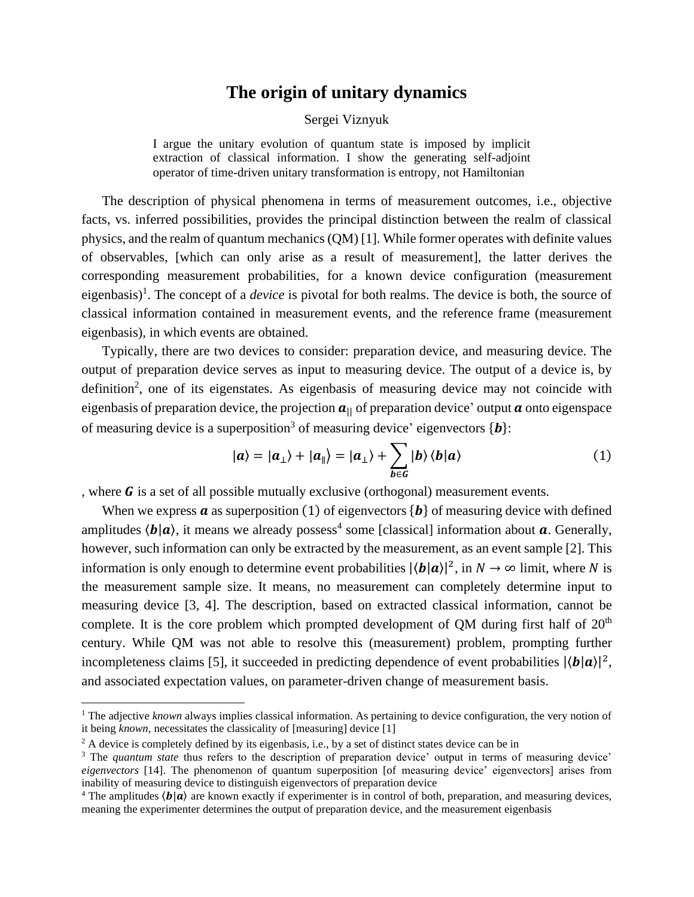## **The origin of unitary dynamics**

## Sergei Viznyuk

I argue the unitary evolution of quantum state is imposed by implicit extraction of classical information. I show the generating self-adjoint operator of time-driven unitary transformation is entropy, not Hamiltonian

The description of physical phenomena in terms of measurement outcomes, i.e., objective facts, vs. inferred possibilities, provides the principal distinction between the realm of classical physics, and the realm of quantum mechanics (QM) [1]. While former operates with definite values of observables, [which can only arise as a result of measurement], the latter derives the corresponding measurement probabilities, for a known device configuration (measurement eigenbasis)<sup>1</sup>. The concept of a *device* is pivotal for both realms. The device is both, the source of classical information contained in measurement events, and the reference frame (measurement eigenbasis), in which events are obtained.

Typically, there are two devices to consider: preparation device, and measuring device. The output of preparation device serves as input to measuring device. The output of a device is, by definition<sup>2</sup>, one of its eigenstates. As eigenbasis of measuring device may not coincide with eigenbasis of preparation device, the projection  $\boldsymbol{a}_{\parallel}$  of preparation device' output  $\boldsymbol{a}$  onto eigenspace of measuring device is a superposition<sup>3</sup> of measuring device' eigenvectors  $\{b\}$ :

<span id="page-0-0"></span>
$$
|a\rangle = |a_{\perp}\rangle + |a_{\parallel}\rangle = |a_{\perp}\rangle + \sum_{b \in G} |b\rangle \langle b|a\rangle \tag{1}
$$

, where  $\boldsymbol{G}$  is a set of all possible mutually exclusive (orthogonal) measurement events.

When we express  $\boldsymbol{a}$  as superposition [\(1\)](#page-0-0) of eigenvectors  $\{\boldsymbol{b}\}\$  of measuring device with defined amplitudes  $\langle b|a \rangle$ , it means we already possess<sup>4</sup> some [classical] information about  $a$ . Generally, however, such information can only be extracted by the measurement, as an event sample [2]. This information is only enough to determine event probabilities  $|\langle \mathbf{b} | \mathbf{a} \rangle|^2$ , in  $N \to \infty$  limit, where N is the measurement sample size. It means, no measurement can completely determine input to measuring device [3, 4]. The description, based on extracted classical information, cannot be complete. It is the core problem which prompted development of QM during first half of  $20<sup>th</sup>$ century. While QM was not able to resolve this (measurement) problem, prompting further incompleteness claims [5], it succeeded in predicting dependence of event probabilities  $|\langle \mathbf{b} | \mathbf{a} \rangle|^2$ , and associated expectation values, on parameter-driven change of measurement basis.

<sup>&</sup>lt;sup>1</sup> The adjective *known* always implies classical information. As pertaining to device configuration, the very notion of it being *known*, necessitates the classicality of [measuring] device [1]

 $^{2}$  A device is completely defined by its eigenbasis, i.e., by a set of distinct states device can be in

<sup>&</sup>lt;sup>3</sup> The *quantum state* thus refers to the description of preparation device' output in terms of measuring device' *eigenvectors* [14]. The phenomenon of quantum superposition [of measuring device' eigenvectors] arises from inability of measuring device to distinguish eigenvectors of preparation device

<sup>&</sup>lt;sup>4</sup> The amplitudes  $\langle b | a \rangle$  are known exactly if experimenter is in control of both, preparation, and measuring devices, meaning the experimenter determines the output of preparation device, and the measurement eigenbasis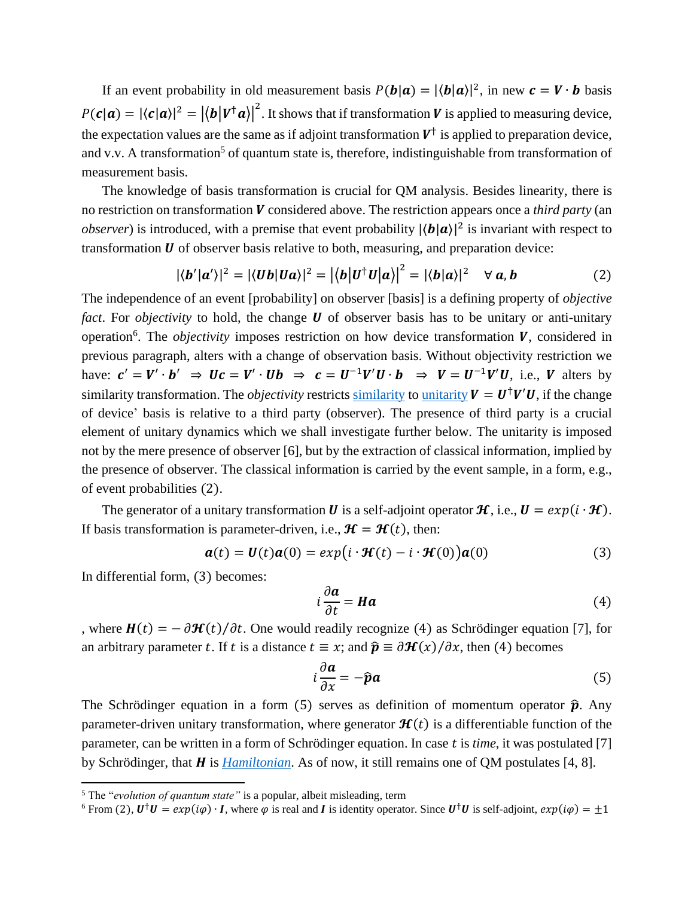If an event probability in old measurement basis  $P(b|a) = |\langle b|a \rangle|^2$ , in new  $c = V \cdot b$  basis  $P(c|\mathbf{a}) = |\langle c|\mathbf{a}\rangle|^2 = |\langle \mathbf{b}|\mathbf{V}^\dagger \mathbf{a}\rangle|^2$ . It shows that if transformation V is applied to measuring device, the expectation values are the same as if adjoint transformation  $V^{\dagger}$  is applied to preparation device, and v.v. A transformation<sup>5</sup> of quantum state is, therefore, indistinguishable from transformation of measurement basis.

The knowledge of basis transformation is crucial for QM analysis. Besides linearity, there is no restriction on transformation **V** considered above. The restriction appears once a *third party* (an *observer*) is introduced, with a premise that event probability  $|\langle b|a \rangle|^2$  is invariant with respect to transformation  $U$  of observer basis relative to both, measuring, and preparation device:

<span id="page-1-0"></span>
$$
|\langle b' | a' \rangle|^2 = |\langle Ub | Ua \rangle|^2 = |\langle b | U^{\dagger} U | a \rangle|^2 = |\langle b | a \rangle|^2 \quad \forall a, b \tag{2}
$$

The independence of an event [probability] on observer [basis] is a defining property of *objective fact*. For *objectivity* to hold, the change  $U$  of observer basis has to be unitary or anti-unitary operation<sup>6</sup>. The *objectivity* imposes restriction on how device transformation V, considered in previous paragraph, alters with a change of observation basis. Without objectivity restriction we have:  $c' = V' \cdot b' \Rightarrow Uc = V' \cdot Ub \Rightarrow c = U^{-1}V'U \cdot b \Rightarrow V = U^{-1}V'U$ , i.e., V alters by [similarity](https://mathworld.wolfram.com/SimilarityTransformation.html) transformation. The *objectivity* restricts similarity to [unitarity](https://en.wikipedia.org/wiki/Unitarity_(physics)#:~:text=In%20quantum%20physics%2C%20unitarity%20is,represented%20by%20a%20unitary%20operator.)  $V = U^{\dagger}V'U$ , if the change of device' basis is relative to a third party (observer). The presence of third party is a crucial element of unitary dynamics which we shall investigate further below. The unitarity is imposed not by the mere presence of observer [6], but by the extraction of classical information, implied by the presence of observer. The classical information is carried by the event sample, in a form, e.g., of event probabilities [\(2\)](#page-1-0).

The generator of a unitary transformation **U** is a self-adjoint operator  $\mathcal{H}$ , i.e.,  $\mathbf{U} = exp(i \cdot \mathcal{H})$ . If basis transformation is parameter-driven, i.e.,  $\mathcal{H} = \mathcal{H}(t)$ , then:

$$
\mathbf{a}(t) = \mathbf{U}(t)\mathbf{a}(0) = exp\big(i \cdot \mathbf{H}(t) - i \cdot \mathbf{H}(0)\big)\mathbf{a}(0)
$$
\n(3)

In differential form, [\(3\)](#page-1-1) becomes:

<span id="page-1-2"></span><span id="page-1-1"></span>
$$
i\frac{\partial a}{\partial t} = H a \tag{4}
$$

, where  $H(t) = -\frac{\partial H(t)}{\partial t}$ . One would readily recognize [\(4\)](#page-1-2) as Schrödinger equation [7], for an arbitrary parameter t. If t is a distance  $t \equiv x$ ; and  $\hat{\mathbf{p}} \equiv \partial \mathbf{H}(x)/\partial x$ , then [\(4\)](#page-1-2) becomes

<span id="page-1-3"></span>
$$
i\frac{\partial \mathbf{a}}{\partial x} = -\hat{\mathbf{p}}\mathbf{a} \tag{5}
$$

The Schrödinger equation in a form [\(5\)](#page-1-3) serves as definition of momentum operator  $\hat{p}$ . Any parameter-driven unitary transformation, where generator  $\mathcal{H}(t)$  is a differentiable function of the parameter, can be written in a form of Schrödinger equation. In case t is *time*, it was postulated [7] by Schrödinger, that is *[Hamiltonian](https://www.britannica.com/science/Hamiltonian-function)*. As of now, it still remains one of QM postulates [4, 8].

<sup>5</sup> The "*evolution of quantum state"* is a popular, albeit misleading, term

<sup>&</sup>lt;sup>6</sup> From [\(2\)](#page-1-0),  $\mathbf{U}^{\dagger}\mathbf{U} = exp(i\varphi) \cdot \mathbf{I}$ , where  $\varphi$  is real and  $\mathbf{I}$  is identity operator. Since  $\mathbf{U}^{\dagger}\mathbf{U}$  is self-adjoint,  $exp(i\varphi) = \pm 1$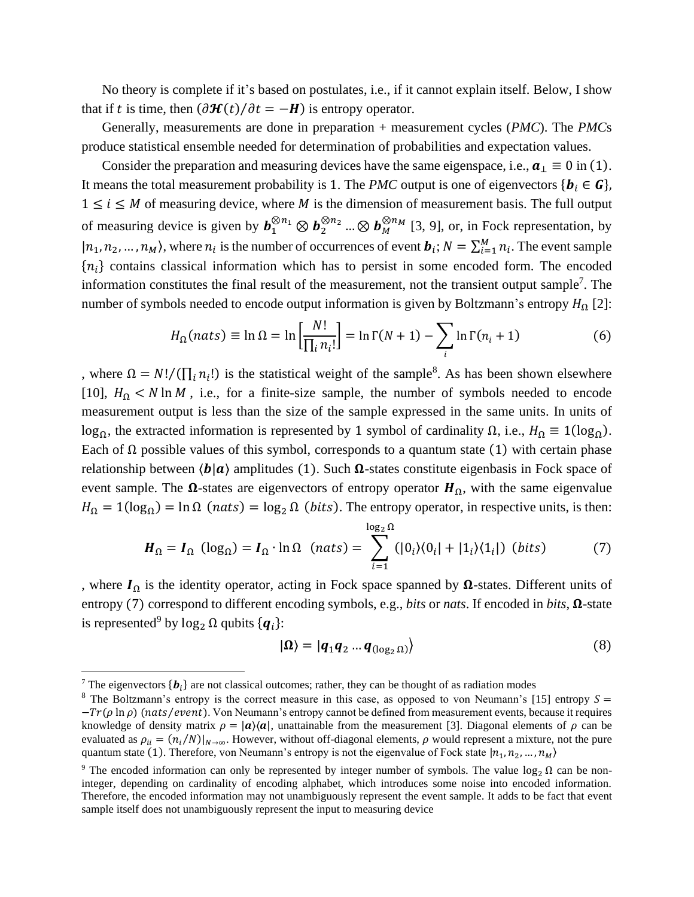No theory is complete if it's based on postulates, i.e., if it cannot explain itself. Below, I show that if t is time, then  $\left(\frac{\partial \mathcal{H}(t)}{\partial t} = -H\right)$  is entropy operator.

Generally, measurements are done in preparation + measurement cycles (*PMC*). The *PMC*s produce statistical ensemble needed for determination of probabilities and expectation values.

Consider the preparation and measuring devices have the same eigenspace, i.e.,  $\mathbf{a}_{\perp} \equiv 0$  in [\(1\)](#page-0-0). It means the total measurement probability is 1. The *PMC* output is one of eigenvectors  $\{b_i \in G\}$ ,  $1 \le i \le M$  of measuring device, where M is the dimension of measurement basis. The full output of measuring device is given by  $b_1^{\otimes n_1} \otimes b_2^{\otimes n_2} \dots \otimes b_M^{\otimes n_M}$  [3, 9], or, in Fock representation, by  $|n_1, n_2, ..., n_M\rangle$ , where  $n_i$  is the number of occurrences of event  $b_i$ ;  $N = \sum_{i=1}^{M} n_i$ . The event sample  ${n<sub>i</sub>}$  contains classical information which has to persist in some encoded form. The encoded information constitutes the final result of the measurement, not the transient output sample<sup>7</sup>. The number of symbols needed to encode output information is given by Boltzmann's entropy  $H_{\Omega}$  [2]:

$$
H_{\Omega}(nats) \equiv \ln \Omega = \ln \left[\frac{N!}{\prod_{i} n_{i}!}\right] = \ln \Gamma(N+1) - \sum_{i} \ln \Gamma(n_{i}+1) \tag{6}
$$

, where  $\Omega = N! / (\prod_i n_i!)$  is the statistical weight of the sample<sup>8</sup>. As has been shown elsewhere [10],  $H_0 < N \ln M$ , i.e., for a finite-size sample, the number of symbols needed to encode measurement output is less than the size of the sample expressed in the same units. In units of log<sub>Ω</sub>, the extracted information is represented by 1 symbol of cardinality  $\Omega$ , i.e.,  $H_{\Omega} \equiv 1(\log_{\Omega})$ . Each of  $\Omega$  possible values of this symbol, corresponds to a quantum state (1) with certain phase relationship between  $\langle b|a\rangle$  amplitudes [\(1\)](#page-0-0). Such  $\Omega$ -states constitute eigenbasis in Fock space of event sample. The  $\Omega$ -states are eigenvectors of entropy operator  $H_{\Omega}$ , with the same eigenvalue  $H_{\Omega} = 1(log_{\Omega}) = \ln \Omega$  (*nats*) = log<sub>2</sub>  $\Omega$  (*bits*). The entropy operator, in respective units, is then:

$$
\boldsymbol{H}_{\Omega} = \boldsymbol{I}_{\Omega} \text{ (log}_{\Omega}) = \boldsymbol{I}_{\Omega} \cdot \ln \Omega \text{ (nats)} = \sum_{i=1}^{\log 2^{i} \Omega} (\vert 0_{i} \rangle \langle 0_{i} \vert + \vert 1_{i} \rangle \langle 1_{i} \vert) \text{ (bits)} \tag{7}
$$

<span id="page-2-1"></span><span id="page-2-0"></span> $\log 0$ 

, where  $I_{\Omega}$  is the identity operator, acting in Fock space spanned by  $\Omega$ -states. Different units of entropy [\(7\)](#page-2-0) correspond to different encoding symbols, e.g., *bits* or *nats*. If encoded in *bits*,  $\Omega$ -state is represented<sup>9</sup> by  $\log_2 \Omega$  qubits  $\{ \boldsymbol{q}_i \}$ :

$$
|\Omega\rangle = |q_1 q_2 ... q_{(\log_2 \Omega)}\rangle
$$
\n(8)

<sup>&</sup>lt;sup>7</sup> The eigenvectors  $\{b_i\}$  are not classical outcomes; rather, they can be thought of as radiation modes

<sup>&</sup>lt;sup>8</sup> The Boltzmann's entropy is the correct measure in this case, as opposed to von Neumann's [15] entropy  $S =$  $-Tr(\rho \ln \rho)$  (nats/event). Von Neumann's entropy cannot be defined from measurement events, because it requires knowledge of density matrix  $\rho = |\mathbf{a}\rangle\langle \mathbf{a}|$ , unattainable from the measurement [3]. Diagonal elements of  $\rho$  can be evaluated as  $\rho_{ii} = (n_i/N)|_{N\to\infty}$ . However, without off-diagonal elements,  $\rho$  would represent a mixture, not the pure quantum state [\(1\)](#page-0-0). Therefore, von Neumann's entropy is not the eigenvalue of Fock state  $|n_1, n_2, ..., n_M\rangle$ 

<sup>&</sup>lt;sup>9</sup> The encoded information can only be represented by integer number of symbols. The value  $\log_2 \Omega$  can be noninteger, depending on cardinality of encoding alphabet, which introduces some noise into encoded information. Therefore, the encoded information may not unambiguously represent the event sample. It adds to be fact that event sample itself does not unambiguously represent the input to measuring device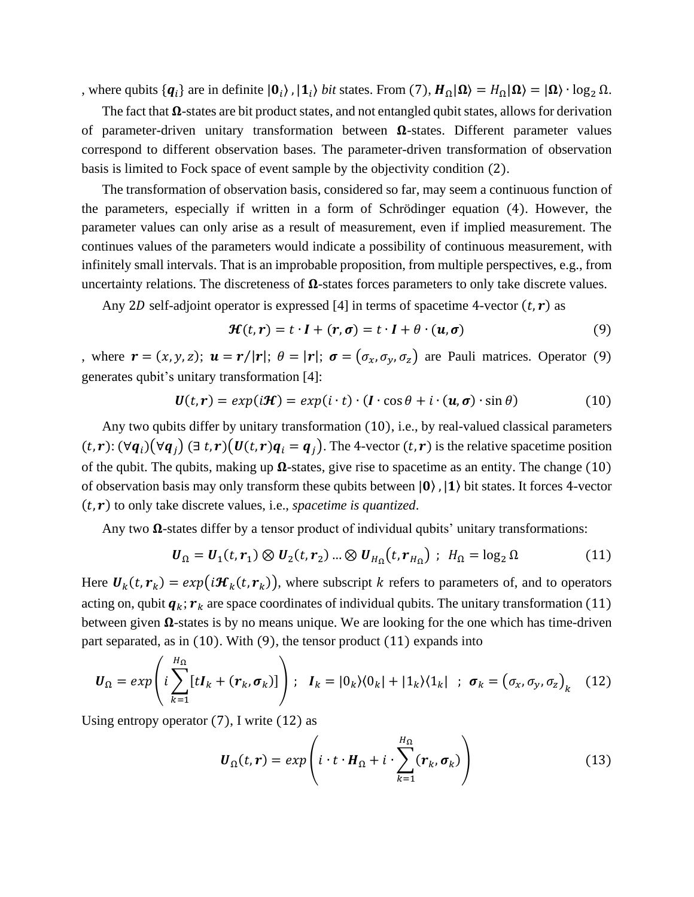, where qubits  $\{q_i\}$  are in definite  $|0_i\rangle$ ,  $|1_i\rangle$  *bit* states. From [\(7\)](#page-2-0),  $H_{\Omega}|\Omega\rangle = H_{\Omega}|\Omega\rangle = |\Omega\rangle \cdot \log_2 \Omega$ .

The fact that  $\Omega$ -states are bit product states, and not entangled qubit states, allows for derivation of parameter-driven unitary transformation between  $\Omega$ -states. Different parameter values correspond to different observation bases. The parameter-driven transformation of observation basis is limited to Fock space of event sample by the objectivity condition [\(2\)](#page-1-0).

The transformation of observation basis, considered so far, may seem a continuous function of the parameters, especially if written in a form of Schrödinger equation [\(4\)](#page-1-2). However, the parameter values can only arise as a result of measurement, even if implied measurement. The continues values of the parameters would indicate a possibility of continuous measurement, with infinitely small intervals. That is an improbable proposition, from multiple perspectives, e.g., from uncertainty relations. The discreteness of  $\Omega$ -states forces parameters to only take discrete values.

Any 2D self-adjoint operator is expressed [4] in terms of spacetime 4-vector  $(t, r)$  as

<span id="page-3-1"></span><span id="page-3-0"></span>
$$
\mathcal{H}(t,r) = t \cdot I + (r,\sigma) = t \cdot I + \theta \cdot (u,\sigma) \tag{9}
$$

, where  $\mathbf{r} = (x, y, z);$   $\mathbf{u} = \mathbf{r}/|\mathbf{r}|;$   $\theta = |\mathbf{r}|;$   $\boldsymbol{\sigma} = (\sigma_x, \sigma_y, \sigma_z)$  are Pauli matrices. Operator [\(9\)](#page-3-0) generates qubit's unitary transformation [4]:

$$
\mathbf{U}(t,\mathbf{r}) = exp(i\mathbf{H}) = exp(i \cdot t) \cdot (\mathbf{I} \cdot \cos \theta + i \cdot (\mathbf{u}, \boldsymbol{\sigma}) \cdot \sin \theta) \tag{10}
$$

Any two qubits differ by unitary transformation [\(10\)](#page-3-1), i.e., by real-valued classical parameters  $(t, r)$ :  $(\forall q_i)(\forall q_j)$   $(\exists t, r)(U(t, r)q_i = q_j)$ . The 4-vector  $(t, r)$  is the relative spacetime position of the qubit. The qubits, making up  $\Omega$ -states, give rise to spacetime as an entity. The change [\(10\)](#page-3-1) of observation basis may only transform these qubits between  $|0\rangle$ ,  $|1\rangle$  bit states. It forces 4-vector  $(t, r)$  to only take discrete values, i.e., *spacetime is quantized*.

Any two  $\Omega$ -states differ by a tensor product of individual qubits' unitary transformations:

$$
\boldsymbol{U}_{\Omega} = \boldsymbol{U}_{1}(t, r_{1}) \otimes \boldsymbol{U}_{2}(t, r_{2}) \dots \otimes \boldsymbol{U}_{H_{\Omega}}(t, r_{H_{\Omega}}) ; \ H_{\Omega} = \log_{2} \Omega \tag{11}
$$

Here  $\bm{U}_k(t,\bm{r}_k)=exp\big(i\bm{\mathcal{H}}_k(t,\bm{r}_k)\big),$  where subscript  $k$  refers to parameters of, and to operators acting on, qubit  $q_k$ ;  $r_k$  are space coordinates of individual qubits. The unitary transformation [\(11\)](#page-3-2) between given  $\Omega$ -states is by no means unique. We are looking for the one which has time-driven part separated, as in [\(10\)](#page-3-1). With [\(9\)](#page-3-0), the tensor product [\(11\)](#page-3-2) expands into

$$
\boldsymbol{U}_{\Omega} = exp\left(i\sum_{k=1}^{H_{\Omega}}\left[t\boldsymbol{I}_{k} + (\boldsymbol{r}_{k}, \boldsymbol{\sigma}_{k})\right]\right); \quad \boldsymbol{I}_{k} = |0_{k}\rangle\langle0_{k}| + |1_{k}\rangle\langle1_{k}| \quad ; \quad \boldsymbol{\sigma}_{k} = (\sigma_{x}, \sigma_{y}, \sigma_{z})_{k} \quad (12)
$$

Using entropy operator  $(7)$ , I write  $(12)$  as

<span id="page-3-4"></span><span id="page-3-3"></span><span id="page-3-2"></span>
$$
\boldsymbol{U}_{\Omega}(t,\boldsymbol{r}) = exp\left(i \cdot t \cdot \boldsymbol{H}_{\Omega} + i \cdot \sum_{k=1}^{H_{\Omega}} (\boldsymbol{r}_k, \boldsymbol{\sigma}_k)\right)
$$
(13)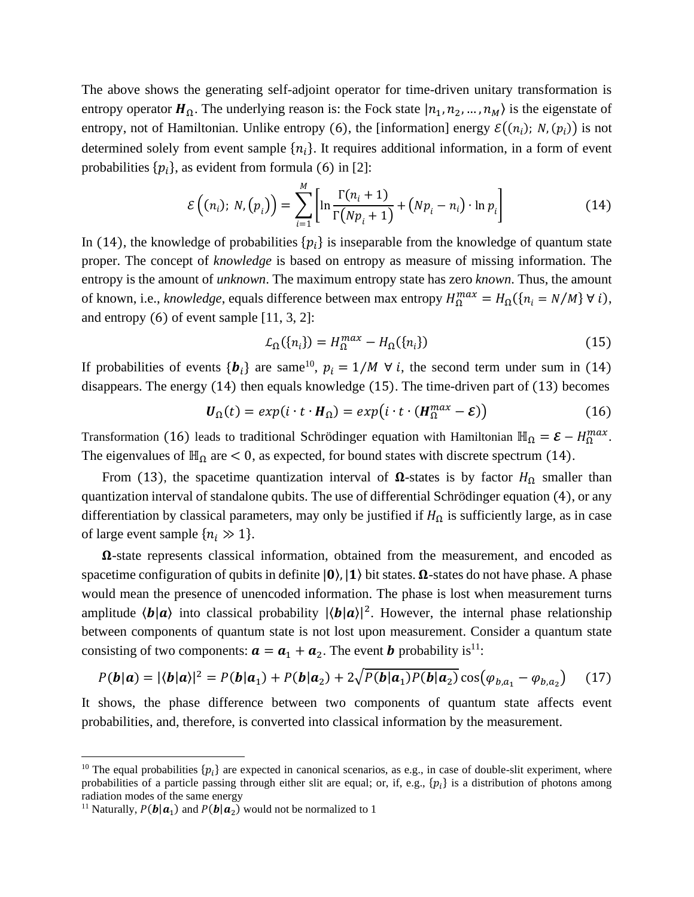The above shows the generating self-adjoint operator for time-driven unitary transformation is entropy operator  $H_0$ . The underlying reason is: the Fock state  $|n_1, n_2, ..., n_M\rangle$  is the eigenstate of entropy, not of Hamiltonian. Unlike entropy [\(6\)](#page-2-1), the [information] energy  $\mathcal{E}((n_i); N, (p_i))$  is not determined solely from event sample  $\{n_i\}$ . It requires additional information, in a form of event probabilities  $\{p_i\}$ , as evident from formula (6) in [2]:

$$
\mathcal{E}\left((n_i); N, (p_i)\right) = \sum_{i=1}^{M} \left[ \ln \frac{\Gamma(n_i+1)}{\Gamma(Np_i+1)} + (Np_i - n_i) \cdot \ln p_i \right]
$$
(14)

In [\(14\)](#page-4-0), the knowledge of probabilities  $\{p_i\}$  is inseparable from the knowledge of quantum state proper. The concept of *knowledge* is based on entropy as measure of missing information. The entropy is the amount of *unknown*. The maximum entropy state has zero *known*. Thus, the amount of known, i.e., *knowledge*, equals difference between max entropy  $H_{\Omega}^{max} = H_{\Omega}(\{n_i = N/M\} \forall i)$ , and entropy [\(6\)](#page-2-1) of event sample [11, 3, 2]:

<span id="page-4-2"></span><span id="page-4-1"></span><span id="page-4-0"></span>
$$
\mathcal{L}_{\Omega}(\{n_i\}) = H_{\Omega}^{max} - H_{\Omega}(\{n_i\})
$$
\n(15)

If probabilities of events  $\{b_i\}$  are same<sup>10</sup>,  $p_i = 1/M \forall i$ , the second term under sum in [\(14\)](#page-4-0) disappears. The energy [\(14\)](#page-4-0) then equals knowledge [\(15\)](#page-4-1). The time-driven part of [\(13\)](#page-3-4) becomes

$$
\boldsymbol{U}_{\Omega}(t) = exp(i \cdot t \cdot \boldsymbol{H}_{\Omega}) = exp(i \cdot t \cdot (\boldsymbol{H}_{\Omega}^{max} - \varepsilon))
$$
(16)

Transformation [\(16\)](#page-4-2) leads to traditional Schrödinger equation with Hamiltonian  $\mathbb{H}_{\Omega} = \mathcal{E} - H_{\Omega}^{max}$ . The eigenvalues of  $\mathbb{H}_{\Omega}$  are < 0, as expected, for bound states with discrete spectrum [\(14\)](#page-4-0).

From [\(13\)](#page-3-4), the spacetime quantization interval of  $\Omega$ -states is by factor  $H_{\Omega}$  smaller than quantization interval of standalone qubits. The use of differential Schrödinger equation [\(4\)](#page-1-2), or any differentiation by classical parameters, may only be justified if  $H_{\Omega}$  is sufficiently large, as in case of large event sample  $\{n_i \gg 1\}$ .

 $\Omega$ -state represents classical information, obtained from the measurement, and encoded as spacetime configuration of qubits in definite  $|0\rangle$ ,  $|1\rangle$  bit states.  $\Omega$ -states do not have phase. A phase would mean the presence of unencoded information. The phase is lost when measurement turns amplitude  $\langle b|a \rangle$  into classical probability  $|\langle b|a \rangle|^2$ . However, the internal phase relationship between components of quantum state is not lost upon measurement. Consider a quantum state consisting of two components:  $\mathbf{a} = \mathbf{a}_1 + \mathbf{a}_2$ . The event **b** probability is<sup>11</sup>:

$$
P(b|a) = |\langle b|a \rangle|^2 = P(b|a_1) + P(b|a_2) + 2\sqrt{P(b|a_1)P(b|a_2)}\cos(\varphi_{b,a_1} - \varphi_{b,a_2}) \quad (17)
$$

It shows, the phase difference between two components of quantum state affects event probabilities, and, therefore, is converted into classical information by the measurement.

<sup>&</sup>lt;sup>10</sup> The equal probabilities  $\{p_i\}$  are expected in canonical scenarios, as e.g., in case of double-slit experiment, where probabilities of a particle passing through either slit are equal; or, if, e.g.,  $\{p_i\}$  is a distribution of photons among radiation modes of the same energy

<sup>&</sup>lt;sup>11</sup> Naturally,  $P(\boldsymbol{b}|\boldsymbol{a}_1)$  and  $P(\boldsymbol{b}|\boldsymbol{a}_2)$  would not be normalized to 1